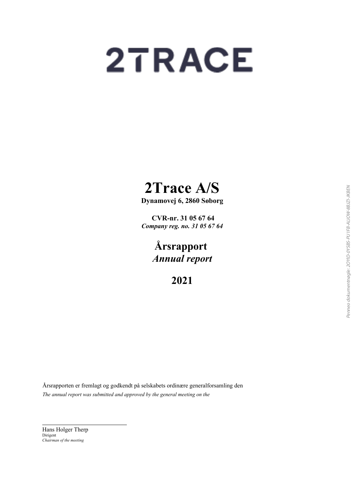# 2TRACE

## **2Trace A/S**

**Dynamovej 6, 2860 Søborg**

 **CVR-nr. 31 05 67 64** *Company reg. no. 31 05 67 64*

> **Årsrapport** *Annual report*

> > **2021**

Årsrapporten er fremlagt og godkendt på selskabets ordinære generalforsamling den *The annual report was submitted and approved by the general meeting on the*

Hans Holger Therp Dirigent *Chairman of the meeting*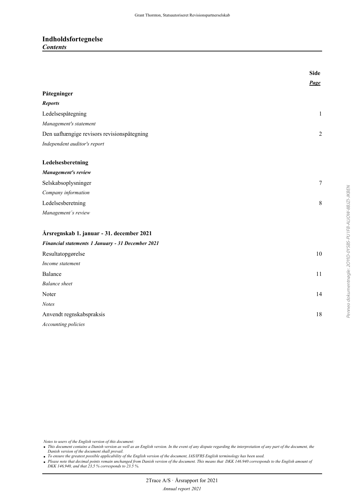### **Indholdsfortegnelse** *Contents*

|                                                   | <b>Side</b>    |
|---------------------------------------------------|----------------|
|                                                   | Page           |
| Påtegninger                                       |                |
| <b>Reports</b>                                    |                |
| Ledelsespåtegning                                 | $\mathbf{1}$   |
| Management's statement                            |                |
| Den uafhængige revisors revisionspåtegning        | $\overline{2}$ |
| Independent auditor's report                      |                |
| Ledelsesberetning                                 |                |
| Management's review                               |                |
| Selskabsoplysninger                               | $\overline{7}$ |
| Company information                               |                |
| Ledelsesberetning                                 | 8              |
| Management's review                               |                |
| Årsregnskab 1. januar - 31. december 2021         |                |
| Financial statements 1 January - 31 December 2021 |                |
| Resultatopgørelse                                 | 10             |
| Income statement                                  |                |
| Balance                                           | 11             |
| <b>Balance</b> sheet                              |                |
| Noter                                             | 14             |
| <b>Notes</b>                                      |                |
| Anvendt regnskabspraksis                          | 18             |
| Accounting policies                               |                |

Penneo dokumentnøgle: 20YID-0YSBS-PU1FB-ALIOW-8BJZI-JKBEN Penneo dokumentnøgle: 2OYID-0YSBS-PU1FB-ALIOW-8BJZI-JKBEN

*Notes to users of the English version of this document:*

 *This document contains a Danish version as well as an English version. In the event of any dispute regarding the interpretation of any part of the document, the Danish version of the document shall prevail.*

*To ensure the greatest possible applicability of the English version of the document, IAS/IFRS English terminology has been used.*

• Please note that decimal points remain unchanged from Danish version of the document. This means that DKK 146.940 corresponds to the English amount of *DKK 146,940, and that 23,5 % corresponds to 23.5 %.*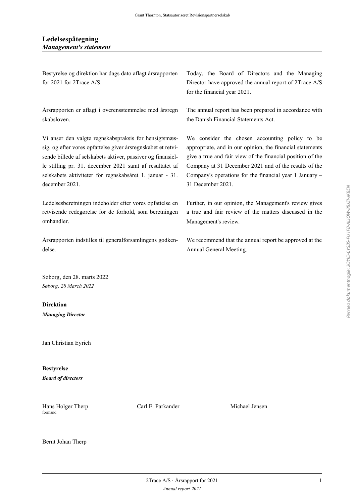Bestyrelse og direktion har dags dato aflagt årsrapporten for 2021 for 2Trace A/S.

Årsrapporten er aflagt i overensstemmelse med årsregn skabsloven.

Vi anser den valgte regnskabspraksis for hensigtsmæssig, og efter vores opfattelse giver årsregnskabet et retvisende billede af selskabets aktiver, passiver og finansielle stilling pr. 31. december 2021 samt af resultatet af selskabets aktiviteter for regnskabsåret 1. januar - 31. december 2021.

Ledelsesberetningen indeholder efter vores opfattelse en retvisende redegørelse for de forhold, som beretningen omhandler.

Årsrapporten indstilles til generalforsamlingens godkendelse.

Søborg, den 28. marts 2022 *Søborg, 28 March 2022*

**Direktion** *Managing Director*

Jan Christian Eyrich

**Bestyrelse** *Board of directors*

formand

Hans Holger Therp **Carl E. Parkander** Michael Jensen

Today, the Board of Directors and the Managing Director have approved the annual report of 2Trace A/S for the financial year 2021.

The annual report has been prepared in accordance with the Danish Financial Statements Act.

We consider the chosen accounting policy to be appropriate, and in our opinion, the financial statements give a true and fair view of the financial position of the Company at 31 December 2021 and of the results of the Company's operations for the financial year 1 January – 31 December 2021.

Further, in our opinion, the Management's review gives a true and fair review of the matters discussed in the Management's review.

We recommend that the annual report be approved at the Annual General Meeting.

 $2$ Trace A/S · Årsrapport for 2021 1 *Annual report 2021*

Bernt Johan Therp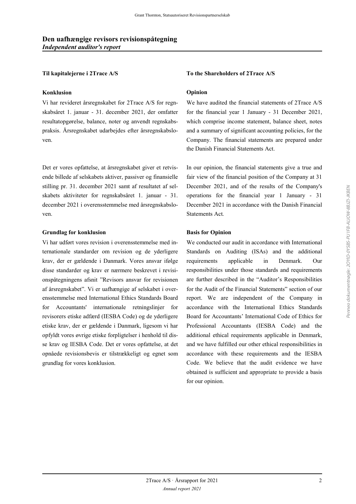#### **Konklusion Opinion**

Vi har revideret årsregnskabet for 2Trace A/S for regnskabsåret 1. januar - 31. december 2021, der omfatter resultatopgørelse, balance, noter og anvendt regnskabspraksis. Årsregnskabet udarbejdes efter årsregnskabsloven.

Det er vores opfattelse, at årsregnskabet giver et retvisende billede af selskabets aktiver, passiver og finansielle stilling pr. 31. december 2021 samt af resultatet af selskabets aktiviteter for regnskabsåret 1. januar - 31. december 2021 i overensstemmelse med årsregnskabsloven.

#### **Grundlag for konklusion** Basis for Opinion

Vi har udført vores revision i overensstemmelse med internationale standarder om revision og de yderligere krav, der er gældende i Danmark. Vores ansvar ifølge disse standarder og krav er nærmere beskrevet i revisionspåtegningens afsnit "Revisors ansvar for revisionen af årsregnskabet". Vi er uafhængige af selskabet i overensstemmelse med International Ethics Standards Board for Accountants' internationale retningslinjer for revisorers etiske adfærd (IESBA Code) og de yderligere etiske krav, der er gældende i Danmark, ligesom vi har opfyldt vores øvrige etiske forpligtelser i henhold til disse krav og IESBA Code. Det er vores opfattelse, at det opnåede revisionsbevis er tilstrækkeligt og egnet som grundlag for vores konklusion.

#### **Til kapitalejerne i 2Trace A/S** To the Shareholders of 2Trace A/S

We have audited the financial statements of 2Trace A/S for the financial year 1 January - 31 December 2021, which comprise income statement, balance sheet, notes and a summary of significant accounting policies, for the Company. The financial statements are prepared under the Danish Financial Statements Act.

In our opinion, the financial statements give a true and fair view of the financial position of the Company at 31 December 2021, and of the results of the Company's operations for the financial year 1 January - 31 December 2021 in accordance with the Danish Financial Statements Act.

We conducted our audit in accordance with International Standards on Auditing (ISAs) and the additional requirements applicable in Denmark. Our responsibilities under those standards and requirements are further described in the "Auditor's Responsibilities for the Audit of the Financial Statements" section of our report. We are independent of the Company in accordance with the International Ethics Standards Board for Accountants' International Code of Ethics for Professional Accountants (IESBA Code) and the additional ethical requirements applicable in Denmark, and we have fulfilled our other ethical responsibilities in accordance with these requirements and the IESBA Code. We believe that the audit evidence we have obtained is sufficient and appropriate to provide a basis for our opinion.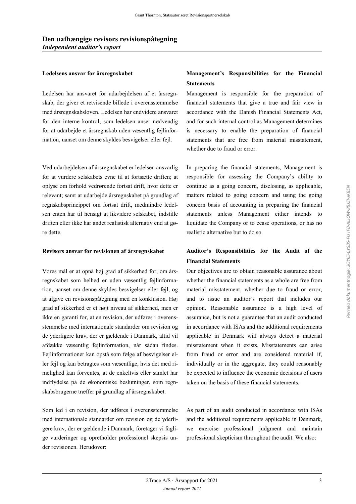Ledelsen har ansvaret for udarbejdelsen af et årsregnskab, der giver et retvisende billede i overensstemmelse med årsregnskabsloven. Ledelsen har endvidere ansvaret for den interne kontrol, som ledelsen anser nødvendig for at udarbejde et årsregnskab uden væsentlig fejlinformation, uanset om denne skyldes besvigelser eller fejl.

Ved udarbejdelsen af årsregnskabet er ledelsen ansvarlig for at vurdere selskabets evne til at fortsætte driften; at oplyse om forhold vedrørende fortsat drift, hvor dette er relevant; samt at udarbejde årsregnskabet på grundlag af regnskabsprincippet om fortsat drift, medmindre ledelsen enten har til hensigt at likvidere selskabet, indstille driften eller ikke har andet realistisk alternativ end at gøre dette.

Vores mål er at opnå høj grad af sikkerhed for, om årsregnskabet som helhed er uden væsentlig fejlinformation, uanset om denne skyldes besvigelser eller fejl, og at afgive en revisionspåtegning med en konklusion. Høj grad af sikkerhed er et højt niveau af sikkerhed, men er ikke en garanti for, at en revision, der udføres i overensstemmelse med internationale standarder om revision og de yderligere krav, der er gældende i Danmark, altid vil afdække væsentlig fejlinformation, når sådan findes. Fejlinformationer kan opstå som følge af besvigelser eller fejl og kan betragtes som væsentlige, hvis det med rimelighed kan forventes, at de enkeltvis eller samlet har indflydelse på de økonomiske beslutninger, som regnskabsbrugerne træffer på grundlag af årsregnskabet.

Som led i en revision, der udføres i overensstemmelse med internationale standarder om revision og de yderligere krav, der er gældende i Danmark, foretager vi faglige vurderinger og opretholder professionel skepsis under revisionen. Herudover:

### **Ledelsens ansvar for årsregnskabet Management's Responsibilities for the Financial Statements**

Management is responsible for the preparation of financial statements that give a true and fair view in accordance with the Danish Financial Statements Act, and for such internal control as Management determines is necessary to enable the preparation of financial statements that are free from material misstatement, whether due to fraud or error.

In preparing the financial statements, Management is responsible for assessing the Company's ability to continue as a going concern, disclosing, as applicable, matters related to going concern and using the going concern basis of accounting in preparing the financial statements unless Management either intends to liquidate the Company or to cease operations, or has no realistic alternative but to do so.

### **Revisors ansvar for revisionen af årsregnskabet Auditor's Responsibilities for the Audit of the Financial Statements**

Our objectives are to obtain reasonable assurance about whether the financial statements as a whole are free from material misstatement, whether due to fraud or error, and to issue an auditor's report that includes our opinion. Reasonable assurance is a high level of assurance, but is not a guarantee that an audit conducted in accordance with ISAs and the additional requirements applicable in Denmark will always detect a material misstatement when it exists. Misstatements can arise from fraud or error and are considered material if, individually or in the aggregate, they could reasonably be expected to influence the economic decisions of users taken on the basis of these financial statements.

As part of an audit conducted in accordance with ISAs and the additional requirements applicable in Denmark, we exercise professional judgment and maintain professional skepticism throughout the audit. We also: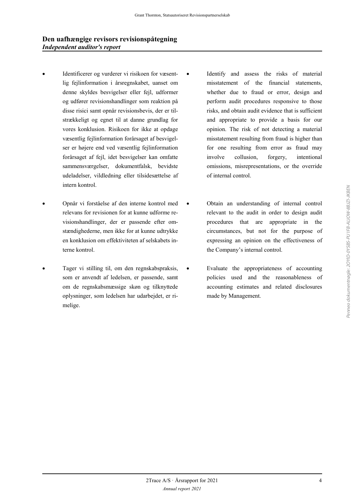- Identificerer og vurderer vi risikoen for væsentlig fejlinformation i årsregnskabet, uanset om denne skyldes besvigelser eller fejl, udformer og udfører revisionshandlinger som reaktion på disse risici samt opnår revisionsbevis, der er tilstrækkeligt og egnet til at danne grundlag for vores konklusion. Risikoen for ikke at opdage væsentlig fejlinformation forårsaget af besvigelser er højere end ved væsentlig fejlinformation forårsaget af fejl, idet besvigelser kan omfatte sammensværgelser, dokumentfalsk, bevidste udeladelser, vildledning eller tilsidesættelse af intern kontrol.
- Opnår vi forståelse af den interne kontrol med relevans for revisionen for at kunne udforme revisionshandlinger, der er passende efter omstændighederne, men ikke for at kunne udtrykke en konklusion om effektiviteten af selskabets interne kontrol.
- Tager vi stilling til, om den regnskabspraksis, som er anvendt af ledelsen, er passende, samt om de regnskabsmæssige skøn og tilknyttede oplysninger, som ledelsen har udarbejdet, er rimelige.
- Identify and assess the risks of material misstatement of the financial statements, whether due to fraud or error, design and perform audit procedures responsive to those risks, and obtain audit evidence that is sufficient and appropriate to provide a basis for our opinion. The risk of not detecting a material misstatement resulting from fraud is higher than for one resulting from error as fraud may involve collusion, forgery, intentional omissions, misrepresentations, or the override of internal control.
- Obtain an understanding of internal control relevant to the audit in order to design audit procedures that are appropriate in the circumstances, but not for the purpose of expressing an opinion on the effectiveness of the Company's internal control.
- Evaluate the appropriateness of accounting policies used and the reasonableness of accounting estimates and related disclosures made by Management.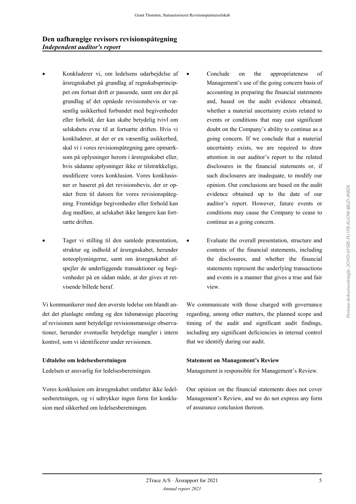### **Den uafhængige revisors revisionspåtegning** *Independent auditor's report*

- Konkluderer vi, om ledelsens udarbejdelse af årsregnskabet på grundlag af regnskabsprincippet om fortsat drift er passende, samt om der på grundlag af det opnåede revisionsbevis er væsentlig usikkerhed forbundet med begivenheder eller forhold, der kan skabe betydelig tvivl om selskabets evne til at fortsætte driften. Hvis vi konkluderer, at der er en væsentlig usikkerhed, skal vi i vores revisionspåtegning gøre opmærksom på oplysninger herom i årsregnskabet eller, hvis sådanne oplysninger ikke er tilstrækkelige, modificere vores konklusion. Vores konklusioner er baseret på det revisionsbevis, der er opnået frem til datoen for vores revisionspåtegning. Fremtidige begivenheder eller forhold kan dog medføre, at selskabet ikke længere kan fortsætte driften.
- Tager vi stilling til den samlede præsentation, struktur og indhold af årsregnskabet, herunder noteoplysningerne, samt om årsregnskabet afspejler de underliggende transaktioner og begivenheder på en sådan måde, at der gives et retvisende billede heraf.

Vi kommunikerer med den øverste ledelse om blandt andet det planlagte omfang og den tidsmæssige placering af revisionen samt betydelige revisionsmæssige observationer, herunder eventuelle betydelige mangler i intern kontrol, som vi identificerer under revisionen.

Vores konklusion om årsregnskabet omfatter ikke ledelsesberetningen, og vi udtrykker ingen form for konklusion med sikkerhed om ledelsesberetningen.

- Conclude on the appropriateness of Management's use of the going concern basis of accounting in preparing the financial statements and, based on the audit evidence obtained, whether a material uncertainty exists related to events or conditions that may cast significant doubt on the Company's ability to continue as a going concern. If we conclude that a material uncertainty exists, we are required to draw attention in our auditor's report to the related disclosures in the financial statements or, if such disclosures are inadequate, to modify our opinion. Our conclusions are based on the audit evidence obtained up to the date of our auditor's report. However, future events or conditions may cause the Company to cease to continue as a going concern.
- Evaluate the overall presentation, structure and contents of the financial statements, including the disclosures, and whether the financial statements represent the underlying transactions and events in a manner that gives a true and fair view.

We communicate with those charged with governance regarding, among other matters, the planned scope and timing of the audit and significant audit findings, including any significant deficiencies in internal control that we identify during our audit.

#### **Udtalelse om ledelsesberetningen Statement on Management's Review**

Ledelsen er ansvarlig for ledelsesberetningen. Management is responsible for Management's Review.

Our opinion on the financial statements does not cover Management's Review, and we do not express any form of assurance conclusion thereon.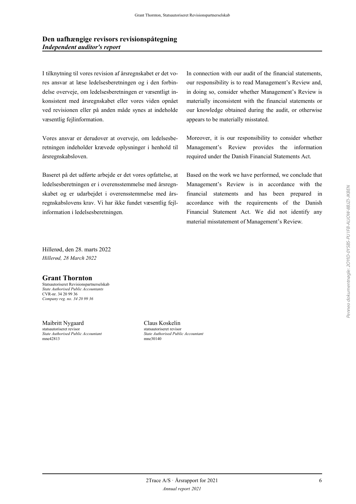I tilknytning til vores revision af årsregnskabet er det vores ansvar at læse ledelsesberetningen og i den forbindelse overveje, om ledelsesberetningen er væsentligt inkonsistent med årsregnskabet eller vores viden opnået ved revisionen eller på anden måde synes at indeholde væsentlig fejlinformation.

Vores ansvar er derudover at overveje, om ledelsesberetningen indeholder krævede oplysninger i henhold til årsregnskabsloven.

Baseret på det udførte arbejde er det vores opfattelse, at ledelsesberetningen er i overensstemmelse med årsregnskabet og er udarbejdet i overensstemmelse med årsregnskabslovens krav. Vi har ikke fundet væsentlig fejlinformation i ledelsesberetningen.

In connection with our audit of the financial statements, our responsibility is to read Management's Review and, in doing so, consider whether Management's Review is materially inconsistent with the financial statements or our knowledge obtained during the audit, or otherwise appears to be materially misstated.

Moreover, it is our responsibility to consider whether Management's Review provides the information required under the Danish Financial Statements Act.

Based on the work we have performed, we conclude that Management's Review is in accordance with the financial statements and has been prepared in accordance with the requirements of the Danish Financial Statement Act. We did not identify any material misstatement of Management's Review.

Hillerød, den 28. marts 2022 *Hillerød, 28 March 2022*

### **Grant Thornton**

Statsautoriseret Revisionspartnerselskab *State Authorised Public Accountants* CVR-nr. 34 20 99 36 *Company reg. no. 34 20 99 36*

Maibritt Nygaard Claus Koskelin statsautoriseret revisor statsautoriseret revisor *State Authorised Public Accountant State Authorised Public Accountant*

mne30140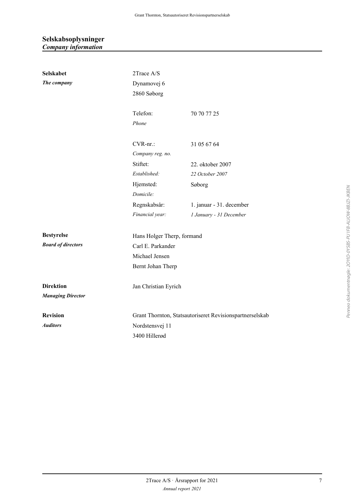### **Selskabsoplysninger** *Company information*

| Selskabet                 | 2Trace A/S                 |                                                          |  |  |
|---------------------------|----------------------------|----------------------------------------------------------|--|--|
| The company               | Dynamovej 6                |                                                          |  |  |
|                           | 2860 Søborg                |                                                          |  |  |
|                           |                            |                                                          |  |  |
|                           | Telefon:                   | 70 70 77 25                                              |  |  |
|                           | Phone                      |                                                          |  |  |
|                           | $CVR$ -nr.:                | 31 05 67 64                                              |  |  |
|                           | Company reg. no.           |                                                          |  |  |
|                           | Stiftet:                   | 22. oktober 2007                                         |  |  |
|                           | Established:               | 22 October 2007                                          |  |  |
|                           | Hjemsted:                  | Søborg                                                   |  |  |
|                           | Domicile:                  |                                                          |  |  |
|                           | Regnskabsår:               | 1. januar - 31. december                                 |  |  |
|                           | Financial year:            | 1 January - 31 December                                  |  |  |
| <b>Bestyrelse</b>         | Hans Holger Therp, formand |                                                          |  |  |
| <b>Board of directors</b> | Carl E. Parkander          |                                                          |  |  |
|                           | Michael Jensen             |                                                          |  |  |
| Bernt Johan Therp         |                            |                                                          |  |  |
| <b>Direktion</b>          | Jan Christian Eyrich       |                                                          |  |  |
| <b>Managing Director</b>  |                            |                                                          |  |  |
| <b>Revision</b>           |                            | Grant Thornton, Statsautoriseret Revisionspartnerselskab |  |  |
| <b>Auditors</b>           | Nordstensvej 11            |                                                          |  |  |
| 3400 Hillerød             |                            |                                                          |  |  |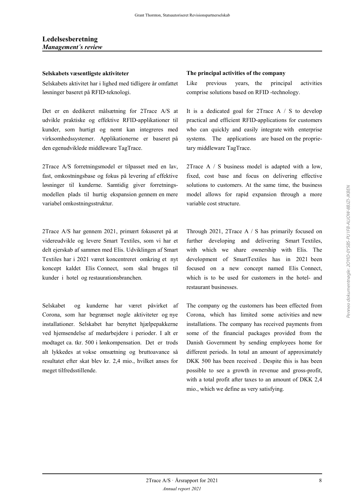### **Ledelsesberetning** *Management´s review*

Selskabets aktivitet har i lighed med tidligere år omfattet løsninger baseret på RFID-teknologi.

Det er en dedikeret målsætning for 2Trace A/S at udvikle praktiske og effektive RFID-applikationer til kunder, som hurtigt og nemt kan integreres med virksomhedssystemer. Applikationerne er baseret på den egenudviklede middleware TagTrace.

2Trace A/S forretningsmodel er tilpasset med en lav, fast, omkostningsbase og fokus på levering af effektive løsninger til kunderne. Samtidig giver forretningsmodellen plads til hurtig ekspansion gennem en mere variabel omkostningsstruktur.

2Trace A/S har gennem 2021, primært fokuseret på at videreudvikle og levere Smart Textiles, som vi har et delt ejerskab af sammen med Elis. Udviklingen af Smart Textiles har i 2021 været koncentreret omkring et nyt koncept kaldet Elis Connect, som skal bruges til kunder i hotel og restaurationsbranchen.

Selskabet og kunderne har været påvirket af Corona, som har begrænset nogle aktiviteter og nye installationer. Selskabet har benyttet hjælpepakkerne ved hjemsendelse af medarbejdere i perioder. I alt er modtaget ca. tkr. 500 i lønkompensation. Det er trods alt lykkedes at vokse omsætning og bruttoavance så resultatet efter skat blev kr. 2,4 mio., hvilket anses for meget tilfredsstillende.

#### **Selskabets væsentligste aktiviteter The principal activities of the company**

Like previous years, the principal activities comprise solutions based on RFID -technology.

It is a dedicated goal for 2Trace A / S to develop practical and efficient RFID-applications for customers who can quickly and easily integrate with enterprise systems. The applications are based on the proprietary middleware TagTrace.

2Trace A / S business model is adapted with a low, fixed, cost base and focus on delivering effective solutions to customers. At the same time, the business model allows for rapid expansion through a more variable cost structure.

Through 2021, 2Trace A / S has primarily focused on further developing and delivering Smart Textiles, with which we share ownership with Elis. The development of SmartTextiles has in 2021 been focused on a new concept named Elis Connect, which is to be used for customers in the hotel- and restaurant businesses.

The company og the customers has been effected from Corona, which has limited some activities and new installations. The company has received payments from some of the financial packages provided from the Danish Government by sending employees home for different periods. In total an amount of approximately DKK 500 has been received . Despite this is has been possible to see a growth in revenue and gross-profit, with a total profit after taxes to an amount of DKK 2,4 mio., which we define as very satisfying.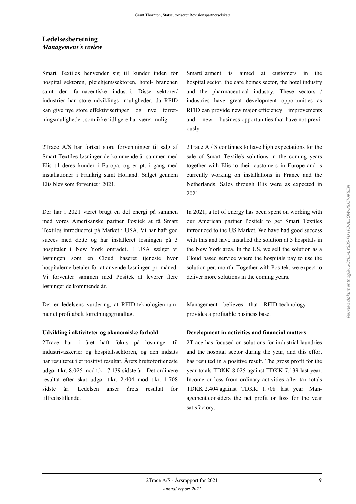### **Ledelsesberetning** *Management´s review*

Smart Textiles henvender sig til kunder inden for hospital sektoren, plejehjemssektoren, hotel- branchen samt den farmaceutiske industri. Disse sektorer/ industrier har store udviklings- muligheder, da RFID kan give nye store effektiviseringer og nye forretningsmuligheder, som ikke tidligere har været mulig.

2Trace A/S har fortsat store forventninger til salg af Smart Textiles løsninger de kommende år sammen med Elis til deres kunder i Europa, og er pt. i gang med installationer i Frankrig samt Holland. Salget gennem Elis blev som forventet i 2021.

Der har i 2021 været brugt en del energi på sammen med vores Amerikanske partner Positek at få Smart Textiles introduceret på Market i USA. Vi har haft god succes med dette og har installeret løsningen på 3 hospitaler i New York området. I USA sælger vi løsningen som en Cloud baseret tjeneste hvor hospitalerne betaler for at anvende løsningen pr. måned. Vi forventer sammen med Positek at leverer flere løsninger de kommende år.

Det er ledelsens vurdering, at RFID-teknologien rummer et profitabelt forretningsgrundlag.

2Trace har i året haft fokus på løsninger til industrivaskerier og hospitalssektoren, og den indsats har resulteret i et positivt resultat. Årets bruttofortjeneste udgør t.kr. 8.025 mod t.kr. 7.139 sidste år. Det ordinære resultat efter skat udgør t.kr. 2.404 mod t.kr. 1.708 sidste år. Ledelsen anser årets resultat for tilfredsstillende.

SmartGarment is aimed at customers in the hospital sector, the care homes sector, the hotel industry and the pharmaceutical industry. These sectors / industries have great development opportunities as RFID can provide new major efficiency improvements and new business opportunities that have not previously.

2Trace A / S continues to have high expectations for the sale of Smart Textile's solutions in the coming years together with Elis to their customers in Europe and is currently working on installations in France and the Netherlands. Sales through Elis were as expected in 2021.

In 2021, a lot of energy has been spent on working with our American partner Positek to get Smart Textiles introduced to the US Market. We have had good success with this and have installed the solution at 3 hospitals in the New York area. In the US, we sell the solution as a Cloud based service where the hospitals pay to use the solution per. month. Together with Positek, we expect to deliver more solutions in the coming years.

Management believes that RFID-technology provides a profitable business base.

### **Udvikling i aktiviteter og økonomiske forhold Development in activities and financial matters**

2Trace has focused on solutions for industrial laundries and the hospital sector during the year, and this effort has resulted in a positive result. The gross profit for the year totals TDKK 8.025 against TDKK 7.139 last year. Income or loss from ordinary activities after tax totals TDKK 2.404 against TDKK 1.708 last year. Management considers the net profit or loss for the year satisfactory.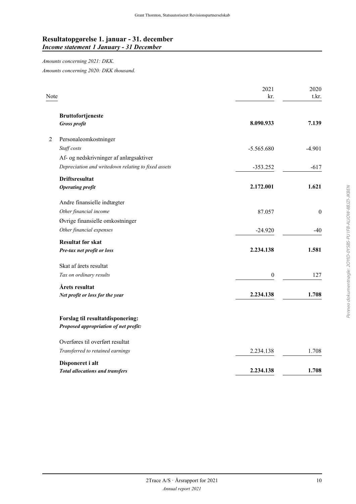### **Resultatopgørelse 1. januar - 31. december** *Income statement 1 January - 31 December*

### *Amounts concerning 2021: DKK.*

*Amounts concerning 2020: DKK thousand.*

| Note           |                                                     | 2021<br>kr.      | 2020<br>t.kr.    |
|----------------|-----------------------------------------------------|------------------|------------------|
|                | <b>Bruttofortjeneste</b><br><b>Gross profit</b>     | 8.090.933        | 7.139            |
|                |                                                     |                  |                  |
| $\overline{2}$ | Personaleomkostninger                               |                  |                  |
|                | Staff costs                                         | $-5.565.680$     | $-4.901$         |
|                | Af- og nedskrivninger af anlægsaktiver              |                  |                  |
|                | Depreciation and writedown relating to fixed assets | $-353.252$       | $-617$           |
|                | <b>Driftsresultat</b>                               |                  |                  |
|                | <b>Operating profit</b>                             | 2.172.001        | 1.621            |
|                | Andre finansielle indtægter                         |                  |                  |
|                | Other financial income                              | 87.057           | $\boldsymbol{0}$ |
|                | Øvrige finansielle omkostninger                     |                  |                  |
|                | Other financial expenses                            | $-24.920$        | $-40$            |
|                | <b>Resultat før skat</b>                            |                  |                  |
|                | Pre-tax net profit or loss                          | 2.234.138        | 1.581            |
|                | Skat af årets resultat                              |                  |                  |
|                | Tax on ordinary results                             | $\boldsymbol{0}$ | 127              |
|                | Årets resultat                                      |                  |                  |
|                | Net profit or loss for the year                     | 2.234.138        | 1.708            |
|                | Forslag til resultatdisponering:                    |                  |                  |
|                | Proposed appropriation of net profit:               |                  |                  |
|                | Overføres til overført resultat                     |                  |                  |
|                | Transferred to retained earnings                    | 2.234.138        | 1.708            |
|                | Disponeret i alt                                    |                  |                  |
|                | <b>Total allocations and transfers</b>              | 2.234.138        | 1.708            |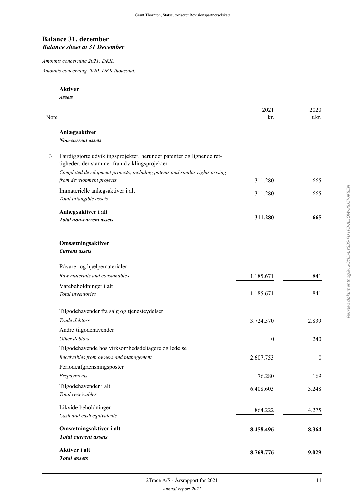### **Balance 31. december** *Balance sheet at 31 December*

*Amounts concerning 2021: DKK. Amounts concerning 2020: DKK thousand.*

**Aktiver**

*Total assets*

*Assets* 2021 2020 Note that the contract of the contract of the contract of the contract of the contract of the contract of the contract of the contract of the contract of the contract of the contract of the contract of the contract of the **Anlægsaktiver** *Non-current assets* 3 Færdiggjorte udviklingsprojekter, herunder patenter og lignende rettigheder, der stammer fra udviklingsprojekter *Completed development projects, including patents and similar rights arising from development projects* 311.280 665 Immaterielle anlægsaktiver i alt *Total intangible assets* 311.280 665 **Anlægsaktiver i alt** *Total non-current assets* **311.280 665 Omsætningsaktiver** *Current assets* Råvarer og hjælpematerialer *Raw materials and consumables* 1.185.671 841 Varebeholdninger i alt *Total inventories* 1.185.671 841 Tilgodehavender fra salg og tjenesteydelser *Trade debtors* 3.724.570 2.839 Andre tilgodehavender *Other debtors* 0 240 Tilgodehavende hos virksomhedsdeltagere og ledelse *Receivables from owners and management* 2.607.753 0 Periodeafgrænsningsposter *Prepayments* 76.280 169 Tilgodehavender i alt *Total receivables* 6.408.603 3.248 Likvide beholdninger *Cash and cash equivalents* 864.222 4.275 **Omsætningsaktiver i alt** *Total current assets* **8.458.496 8.364 Aktiver i alt 8.769.776 9.029**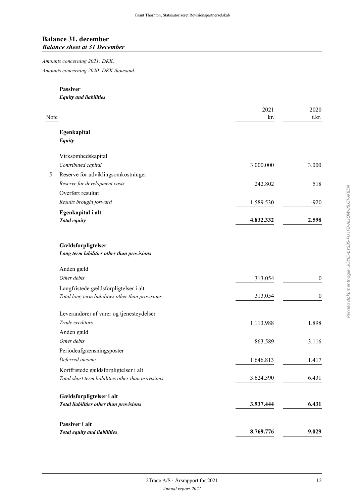### **Balance 31. december** *Balance sheet at 31 December*

*Amounts concerning 2021: DKK. Amounts concerning 2020: DKK thousand.*

#### **Passiver**

*Equity and liabilities*

| Note                                                             | 2021<br>kr. | 2020<br>t.kr.    |
|------------------------------------------------------------------|-------------|------------------|
| Egenkapital<br>Equity                                            |             |                  |
| Virksomhedskapital                                               |             |                  |
| Contributed capital                                              | 3.000.000   | 3.000            |
| Reserve for udviklingsomkostninger<br>5                          |             |                  |
| Reserve for development costs                                    | 242.802     | 518              |
| Overført resultat                                                |             |                  |
| Results brought forward                                          | 1.589.530   | $-920$           |
| Egenkapital i alt                                                |             |                  |
| <b>Total equity</b>                                              | 4.832.332   | 2.598            |
| Gældsforpligtelser<br>Long term labilities other than provisions |             |                  |
| Anden gæld                                                       |             |                  |
| Other debts                                                      | 313.054     | $\boldsymbol{0}$ |
| Langfristede gældsforpligtelser i alt                            |             |                  |
| Total long term liabilities other than provisions                | 313.054     | $\boldsymbol{0}$ |
| Leverandører af varer og tjenesteydelser                         |             |                  |
| Trade creditors                                                  | 1.113.988   | 1.898            |
| Anden gæld                                                       |             |                  |
| Other debts                                                      | 863.589     | 3.116            |
| Periodeafgrænsningsposter                                        |             |                  |
| Deferred income                                                  | 1.646.813   | 1.417            |
| Kortfristede gældsforpligtelser i alt                            |             |                  |
| Total short term liabilities other than provisions               | 3.624.390   | 6.431            |
| Gældsforpligtelser i alt                                         |             |                  |
| Total liabilities other than provisions                          | 3.937.444   | 6.431            |
| Passiver i alt                                                   |             |                  |
| <b>Total equity and liabilities</b>                              | 8.769.776   | 9.029            |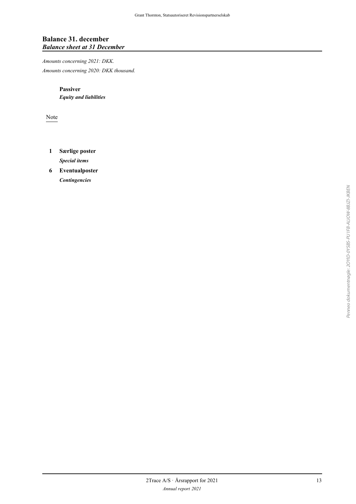### **Balance 31. december** *Balance sheet at 31 December*

*Amounts concerning 2021: DKK. Amounts concerning 2020: DKK thousand.*

> **Passiver** *Equity and liabilities*

Note

- **1 Særlige poster** *Special items*
- **6 Eventualposter** *Contingencies*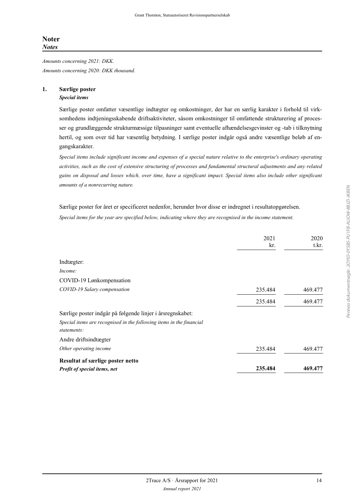*Amounts concerning 2021: DKK. Amounts concerning 2020: DKK thousand.*

#### **1. Særlige poster** *Special items*

Særlige poster omfatter væsentlige indtægter og omkostninger, der har en særlig karakter i forhold til virksomhedens indtjeningsskabende driftsaktiviteter, såsom omkostninger til omfattende strukturering af processer og grundlæggende strukturmæssige tilpasninger samt eventuelle afhændelsesgevinster og -tab i tilknytning hertil, og som over tid har væsentlig betydning. I særlige poster indgår også andre væsentlige beløb af engangskarakter.

*Special items include significant income and expenses of a special nature relative to the enterprise's ordinary operating activities, such as the cost of extensive structuring of processes and fundamental structural adjustments and any related gains on disposal and losses which, over time, have a significant impact. Special items also include other significant amounts of a nonrecurring nature.*

Særlige poster for året er specificeret nedenfor, herunder hvor disse er indregnet i resultatopgørelsen. *Special items for the year are specified below, indicating where they are recognised in the income statement.*

|                                                                                     | 2021<br>kr. | 2020<br>t.kr. |
|-------------------------------------------------------------------------------------|-------------|---------------|
| Indtægter:                                                                          |             |               |
| Income:                                                                             |             |               |
| COVID-19 Lønkompensation                                                            |             |               |
| COVID-19 Salary compensation                                                        | 235.484     | 469.477       |
|                                                                                     | 235.484     | 469.477       |
| Særlige poster indgår på følgende linjer i årsregnskabet:                           |             |               |
| Special items are recognised in the following items in the financial<br>statements: |             |               |
| Andre driftsindtægter                                                               |             |               |
| Other operating income                                                              | 235.484     | 469.477       |
| Resultat af særlige poster netto                                                    |             |               |
| Profit of special items, net                                                        | 235.484     | 469.477       |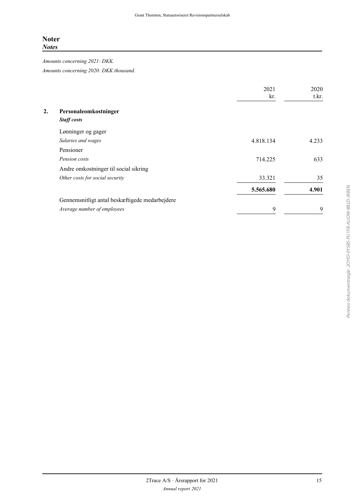*Amounts concerning 2021: DKK. Amounts concerning 2020: DKK thousand.*

|    |                                                | 2021<br>kr. | 2020<br>t.kr. |
|----|------------------------------------------------|-------------|---------------|
| 2. | Personaleomkostninger                          |             |               |
|    | <b>Staff</b> costs                             |             |               |
|    | Lønninger og gager                             |             |               |
|    | Salaries and wages                             | 4.818.134   | 4.233         |
|    | Pensioner                                      |             |               |
|    | Pension costs                                  | 714.225     | 633           |
|    | Andre omkostninger til social sikring          |             |               |
|    | Other costs for social security                | 33.321      | 35            |
|    |                                                | 5.565.680   | 4.901         |
|    | Gennemsnitligt antal beskæftigede medarbejdere |             |               |
|    | Average number of employees                    | 9           | 9             |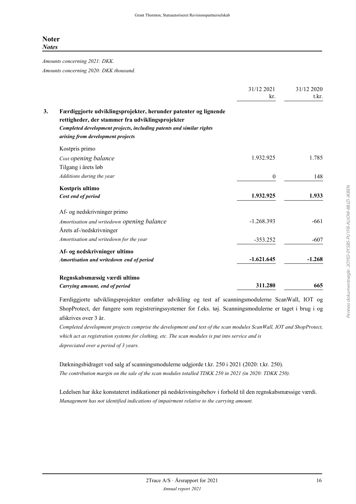*Amounts concerning 2021: DKK. Amounts concerning 2020: DKK thousand.*

|                                                                                                                     | 31/12 2021       | 31/12 2020 |
|---------------------------------------------------------------------------------------------------------------------|------------------|------------|
|                                                                                                                     | kr.              | t.kr.      |
| Færdiggjorte udviklingsprojekter, herunder patenter og lignende<br>rettigheder, der stammer fra udviklingsprojekter |                  |            |
| Completed development projects, including patents and similar rights                                                |                  |            |
| arising from development projects                                                                                   |                  |            |
| Kostpris primo                                                                                                      |                  |            |
| Cost opening balance                                                                                                | 1.932.925        | 1.785      |
| Tilgang i årets løb                                                                                                 |                  |            |
| Additions during the year                                                                                           | $\boldsymbol{0}$ | 148        |
| Kostpris ultimo                                                                                                     |                  |            |
| Cost end of period                                                                                                  | 1.932.925        | 1.933      |
| Af- og nedskrivninger primo                                                                                         |                  |            |
| Amortisation and writedown opening balance                                                                          | $-1.268.393$     | $-661$     |
| Årets af-/nedskrivninger                                                                                            |                  |            |
| Amortisation and writedown for the year                                                                             | $-353.252$       | $-607$     |
| Af- og nedskrivninger ultimo                                                                                        |                  |            |
| Amortisation and writedown end of period                                                                            | $-1.621.645$     | $-1.268$   |
| Regnskabsmæssig værdi ultimo                                                                                        |                  |            |
| Carrying amount, end of period                                                                                      | 311.280          | 665        |

Færdiggjorte udviklingsprojekter omfatter udvikling og test af scanningsmodulerne ScanWall, IOT og ShopProtect, der fungere som registreringssystemer for f.eks. tøj. Scanningsmodulerne er taget i brug i og afskrives over 3 år.

*Completed development projects comprise the development and test of the scan modules ScanWall, IOT and ShopProtect, which act as registration systems for clothing, etc. The scan modules is put into service and is depreciated over a period of 3 years.*

Dækningsbidraget ved salg af scanningsmodulerne udgjorde t.kr. 250 i 2021 (2020: t.kr. 250). *The contribution margin on the sale of the scan modules totalled TDKK 250 in 2021 (in 2020: TDKK 250).*

Ledelsen har ikke konstateret indikationer på nedskrivningsbehov i forhold til den regnskabsmæssige værdi. *Management has not identified indications of impairment relative to the carrying amount.*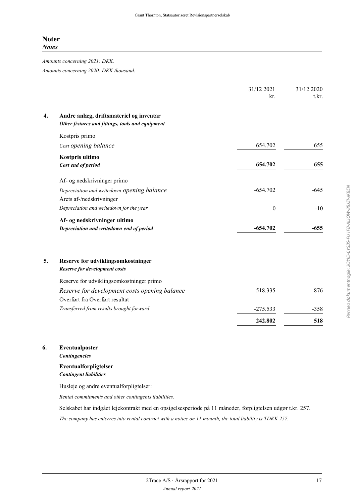*Amounts concerning 2021: DKK. Amounts concerning 2020: DKK thousand.*

|    |                                                                                             | 31/12 2021<br>kr. | 31/12 2020<br>t.kr. |
|----|---------------------------------------------------------------------------------------------|-------------------|---------------------|
| 4. | Andre anlæg, driftsmateriel og inventar<br>Other fixtures and fittings, tools and equipment |                   |                     |
|    | Kostpris primo                                                                              |                   |                     |
|    | Cost opening balance                                                                        | 654.702           | 655                 |
|    | Kostpris ultimo<br>Cost end of period                                                       | 654.702           | 655                 |
|    | Af- og nedskrivninger primo                                                                 |                   |                     |
|    | Depreciation and writedown opening balance<br>Årets af-/nedskrivninger                      | $-654.702$        | $-645$              |
|    | Depreciation and writedown for the year                                                     | $\boldsymbol{0}$  | $-10$               |
|    | Af- og nedskrivninger ultimo<br>Depreciation and writedown end of period                    | $-654.702$        | $-655$              |
| 5. | Reserve for udviklingsomkostninger<br>Reserve for development costs                         |                   |                     |
|    | Reserve for udviklingsomkostninger primo                                                    |                   |                     |
|    | Reserve for development costs opening balance<br>Overført fra Overført resultat             | 518.335           | 876                 |
|    | Transferred from results brought forward                                                    | $-275.533$        | $-358$              |
|    |                                                                                             | 242.802           | 518                 |
|    |                                                                                             |                   |                     |

#### **6. Eventualposter**

*Contingencies*

### **Eventualforpligtelser** *Contingent liabilities*

Husleje og andre eventualforpligtelser:

*Rental commitments and other contingents liabilities.*

Selskabet har indgået lejekontrakt med en opsigelsesperiode på 11 måneder, forpligtelsen udgør t.kr. 257.

*The company has enterres into rental contract with a notice on 11 mounth, the total liability is TDKK 257.*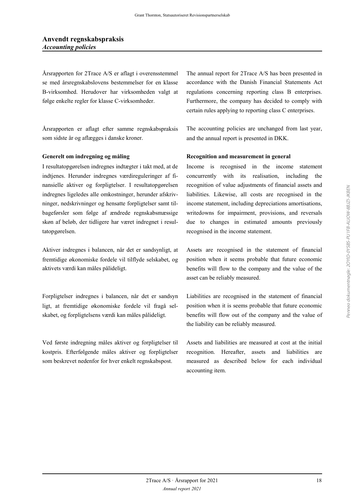Årsrapporten for 2Trace A/S er aflagt i overensstemmel se med årsregnskabslovens bestemmelser for en klasse B-virksomhed. Herudover har virksomheden valgt at følge enkelte regler for klasse C-virksomheder.

Årsrapporten er aflagt efter samme regnskabspraksis som sidste år og aflægges i danske kroner.

I resultatopgørelsen indregnes indtægter i takt med, at de indtjenes. Herunder indregnes værdireguleringer af finansielle aktiver og forpligtelser. I resultatopgørelsen indregnes ligeledes alle omkostninger, herunder afskrivninger, nedskrivninger og hensatte forpligtelser samt tilbageførsler som følge af ændrede regnskabsmæssige skøn af beløb, der tidligere har været indregnet i resultatopgørelsen.

Aktiver indregnes i balancen, når det er sandsynligt, at fremtidige økonomiske fordele vil tilflyde selskabet, og aktivets værdi kan måles pålideligt.

Forpligtelser indregnes i balancen, når det er sandsyn ligt, at fremtidige økonomiske fordele vil fragå selskabet, og forpligtelsens værdi kan måles pålideligt.

Ved første indregning måles aktiver og forpligtelser til kostpris. Efterfølgende måles aktiver og forpligtelser som beskrevet nedenfor for hver enkelt regnskabspost.

The annual report for 2Trace A/S has been presented in accordance with the Danish Financial Statements Act regulations concerning reporting class B enterprises. Furthermore, the company has decided to comply with certain rules applying to reporting class C enterprises.

The accounting policies are unchanged from last year, and the annual report is presented in DKK.

### **Generelt om indregning og måling Recognition and measurement in general**

Income is recognised in the income statement concurrently with its realisation, including the recognition of value adjustments of financial assets and liabilities. Likewise, all costs are recognised in the income statement, including depreciations amortisations, writedowns for impairment, provisions, and reversals due to changes in estimated amounts previously recognised in the income statement.

Assets are recognised in the statement of financial position when it seems probable that future economic benefits will flow to the company and the value of the asset can be reliably measured.

Liabilities are recognised in the statement of financial position when it is seems probable that future economic benefits will flow out of the company and the value of the liability can be reliably measured.

Assets and liabilities are measured at cost at the initial recognition. Hereafter, assets and liabilities are measured as described below for each individual accounting item.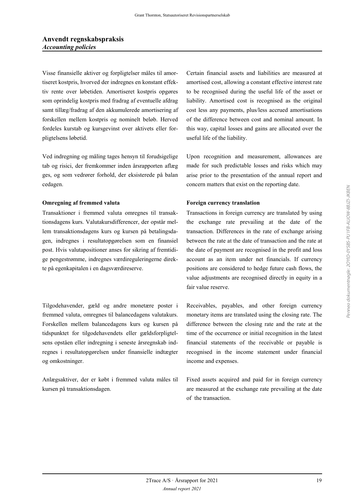### **Anvendt regnskabspraksis** *Accounting policies*

Visse finansielle aktiver og forpligtelser måles til amortiseret kostpris, hvorved der indregnes en konstant effektiv rente over løbetiden. Amortiseret kostpris opgøres som oprindelig kostpris med fradrag af eventuelle afdrag samt tillæg/fradrag af den akkumulerede amortisering af forskellen mellem kostpris og nominelt beløb. Herved fordeles kurstab og kursgevinst over aktivets eller forpligtelsens løbetid.

Ved indregning og måling tages hensyn til forudsigelige tab og risici, der fremkommer inden årsrapporten aflæg ges, og som vedrører forhold, der eksisterede på balan cedagen.

### **Omregning af fremmed valuta Foreign currency translation**

Transaktioner i fremmed valuta omregnes til transaktionsdagens kurs. Valutakursdifferencer, der opstår mellem transaktionsdagens kurs og kursen på betalingsdagen, indregnes i resultatopgørelsen som en finansiel post. Hvis valutapositioner anses for sikring af fremtidige pengestrømme, indregnes værdireguleringerne direkte på egenkapitalen i en dagsværdireserve.

Tilgodehavender, gæld og andre monetære poster i fremmed valuta, omregnes til balancedagens valutakurs. Forskellen mellem balancedagens kurs og kursen på tidspunktet for tilgodehavendets eller gældsforpligtelsens opståen eller indregning i seneste årsregnskab indregnes i resultatopgørelsen under finansielle indtægter og omkostninger.

Anlægsaktiver, der er købt i fremmed valuta måles til kursen på transaktionsdagen.

Certain financial assets and liabilities are measured at amortised cost, allowing a constant effective interest rate to be recognised during the useful life of the asset or liability. Amortised cost is recognised as the original cost less any payments, plus/less accrued amortisations of the difference between cost and nominal amount. In this way, capital losses and gains are allocated over the useful life of the liability.

Upon recognition and measurement, allowances are made for such predictable losses and risks which may arise prior to the presentation of the annual report and concern matters that exist on the reporting date.

Transactions in foreign currency are translated by using the exchange rate prevailing at the date of the transaction. Differences in the rate of exchange arising between the rate at the date of transaction and the rate at the date of payment are recognised in the profit and loss account as an item under net financials. If currency positions are considered to hedge future cash flows, the value adjustments are recognised directly in equity in a fair value reserve.

Receivables, payables, and other foreign currency monetary items are translated using the closing rate. The difference between the closing rate and the rate at the time of the occurrence or initial recognition in the latest financial statements of the receivable or payable is recognised in the income statement under financial income and expenses.

Fixed assets acquired and paid for in foreign currency are measured at the exchange rate prevailing at the date of the transaction.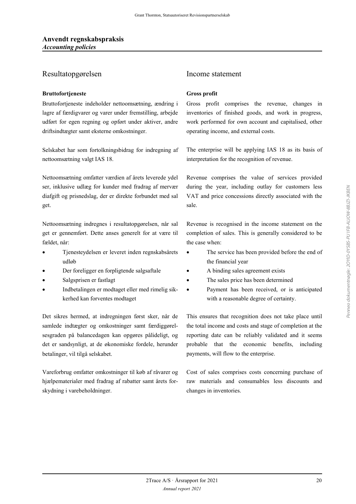### Resultatopgørelsen Income statement

### **Bruttofortjeneste Gross profit**

Bruttofortjeneste indeholder nettoomsætning, ændring i lagre af færdigvarer og varer under fremstilling, arbejde udført for egen regning og opført under aktiver, andre driftsindtægter samt eksterne omkostninger.

Selskabet har som fortolkningsbidrag for indregning af nettoomsætning valgt IAS 18.

Nettoomsætning omfatter værdien af årets leverede ydel ser, inklusive udlæg for kunder med fradrag af mervær diafgift og prisnedslag, der er direkte forbundet med sal get.

Nettoomsætning indregnes i resultatopgørelsen, når sal get er gennemført. Dette anses generelt for at være til fældet, når:

- Tjenesteydelsen er leveret inden regnskabsårets udløb
- Der foreligger en forpligtende salgsaftale  $\bullet$  A binding sales agreement exists
- 
- Indbetalingen er modtaget eller med rimelig sikkerhed kan forventes modtaget

Det sikres hermed, at indregningen først sker, når de samlede indtægter og omkostninger samt færdiggørelsesgraden på balancedagen kan opgøres pålideligt, og det er sandsynligt, at de økonomiske fordele, herunder betalinger, vil tilgå selskabet.

Vareforbrug omfatter omkostninger til køb af råvarer og hjælpematerialer med fradrag af rabatter samt årets forskydning i varebeholdninger.

Gross profit comprises the revenue, changes in inventories of finished goods, and work in progress, work performed for own account and capitalised, other operating income, and external costs.

The enterprise will be applying IAS 18 as its basis of interpretation for the recognition of revenue.

Revenue comprises the value of services provided during the year, including outlay for customers less VAT and price concessions directly associated with the sale.

Revenue is recognised in the income statement on the completion of sales. This is generally considered to be the case when:

- The service has been provided before the end of the financial year
- 
- Salgsprisen er fastlagt The sales price has been determined
	- Payment has been received, or is anticipated with a reasonable degree of certainty.

This ensures that recognition does not take place until the total income and costs and stage of completion at the reporting date can be reliably validated and it seems probable that the economic benefits, including payments, will flow to the enterprise.

Cost of sales comprises costs concerning purchase of raw materials and consumables less discounts and changes in inventories.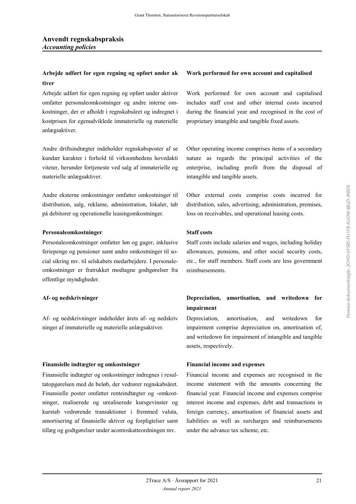### **Arbejde udført for egen regning og opført under ak tiver**

Arbejde udført for egen regning og opført under aktiver omfatter personaleomkostninger og andre interne omkostninger, der er afholdt i regnskabsåret og indregnet i kostprisen for egenudviklede immaterielle og materielle anlægsaktiver.

Andre driftsindtægter indeholder regnskabsposter af se kundær karakter i forhold til virksomhedens hovedakti viteter, herunder fortjeneste ved salg af immaterielle og materielle anlægsaktiver.

Andre eksterne omkostninger omfatter omkostninger til distribution, salg, reklame, administration, lokaler, tab på debitorer og operationelle leasingomkostninger.

#### **Personaleomkostninger Staff costs**

Personaleomkostninger omfatter løn og gager, inklusive feriepenge og pensioner samt andre omkostninger til social sikring mv. til selskabets medarbejdere. I personaleomkostninger er fratrukket modtagne godtgørelser fra offentlige myndigheder.

Af- og nedskrivninger indeholder årets af- og nedskriv ninger af immaterielle og materielle anlægsaktiver.

#### **Finansielle indtægter og omkostninger Financial income and expenses**

Finansielle indtægter og omkostninger indregnes i resultatopgørelsen med de beløb, der vedrører regnskabsåret. Finansielle poster omfatter renteindtægter og -omkostninger, realiserede og urealiserede kursgevinster og kurstab vedrørende transaktioner i fremmed valuta, amortisering af finansielle aktiver og forpligtelser samt tillæg og godtgørelser under acontoskatteordningen mv.

#### **Work performed for own account and capitalised**

Work performed for own account and capitalised includes staff cost and other internal costs incurred during the financial year and recognised in the cost of proprietary intangible and tangible fixed assets.

Other operating income comprises items of a secondary nature as regards the principal activities of the enterprise, including profit from the disposal of intangible and tangible assets.

Other external costs comprise costs incurred for distribution, sales, advertising, administration, premises, loss on receivables, and operational leasing costs.

Staff costs include salaries and wages, including holiday allowances, pensions, and other social security costs, etc., for staff members. Staff costs are less government reimbursements.

### **Af- og nedskrivninger Depreciation, amortisation, and writedown for impairment**

Depreciation, amortisation, and writedown for impairment comprise depreciation on, amortisation of, and writedown for impairment of intangible and tangible assets, respectively.

Financial income and expenses are recognised in the income statement with the amounts concerning the financial year. Financial income and expenses comprise interest income and expenses, debt and transactions in foreign currency, amortisation of financial assets and liabilities as well as surcharges and reimbursements under the advance tax scheme, etc.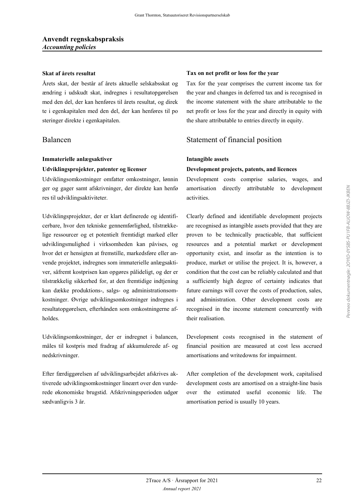Årets skat, der består af årets aktuelle selskabsskat og ændring i udskudt skat, indregnes i resultatopgørelsen med den del, der kan henføres til årets resultat, og direk te i egenkapitalen med den del, der kan henføres til po steringer direkte i egenkapitalen.

### **Immaterielle anlægsaktiver Intangible assets**

Udviklingsomkostninger omfatter omkostninger, lønnin ger og gager samt afskrivninger, der direkte kan henfø res til udviklingsaktiviteter.

Udviklingsprojekter, der er klart definerede og identificerbare, hvor den tekniske gennemførlighed, tilstrækkelige ressourcer og et potentielt fremtidigt marked eller udviklingsmulighed i virksomheden kan påvises, og hvor det er hensigten at fremstille, markedsføre eller anvende projektet, indregnes som immaterielle anlægsaktiver, såfremt kostprisen kan opgøres pålideligt, og der er tilstrækkelig sikkerhed for, at den fremtidige indtjening kan dække produktions-, salgs- og administrationsomkostninger. Øvrige udviklingsomkostninger indregnes i resultatopgørelsen, efterhånden som omkostningerne afholdes.

Udviklingsomkostninger, der er indregnet i balancen, måles til kostpris med fradrag af akkumulerede af- og nedskrivninger.

Efter færdiggørelsen af udviklingsarbejdet afskrives aktiverede udviklingsomkostninger lineært over den vurderede økonomiske brugstid. Afskrivningsperioden udgør sædvanligvis 3 år.

#### **Skat af årets resultat Tax on net profit or loss for the year**

Tax for the year comprises the current income tax for the year and changes in deferred tax and is recognised in the income statement with the share attributable to the net profit or loss for the year and directly in equity with the share attributable to entries directly in equity.

### Balancen Statement of financial position

#### **Udviklingsprojekter, patenter og licenser Development projects, patents, and licences**

Development costs comprise salaries, wages, and amortisation directly attributable to development activities.

Clearly defined and identifiable development projects are recognised as intangible assets provided that they are proven to be technically practicable, that sufficient resources and a potential market or development opportunity exist, and insofar as the intention is to produce, market or utilise the project. It is, however, a condition that the cost can be reliably calculated and that a sufficiently high degree of certainty indicates that future earnings will cover the costs of production, sales, and administration. Other development costs are recognised in the income statement concurrently with their realisation.

Development costs recognised in the statement of financial position are measured at cost less accrued amortisations and writedowns for impairment.

After completion of the development work, capitalised development costs are amortised on a straight-line basis over the estimated useful economic life. The amortisation period is usually 10 years.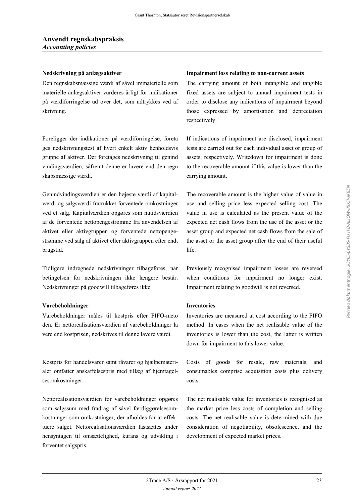Den regnskabsmæssige værdi af såvel immaterielle som materielle anlægsaktiver vurderes årligt for indikationer på værdiforringelse ud over det, som udtrykkes ved af skrivning.

Foreligger der indikationer på værdiforringelse, foreta ges nedskrivningstest af hvert enkelt aktiv henholdsvis gruppe af aktiver. Der foretages nedskrivning til genind vindingsværdien, såfremt denne er lavere end den regn skabsmæssige værdi.

Genindvindingsværdien er den højeste værdi af kapitalværdi og salgsværdi fratrukket forventede omkostninger ved et salg. Kapitalværdien opgøres som nutidsværdien af de forventede nettopengestrømme fra anvendelsen af aktivet eller aktivgruppen og forventede nettopengestrømme ved salg af aktivet eller aktivgruppen efter endt brugstid.

Tidligere indregnede nedskrivninger tilbageføres, når betingelsen for nedskrivningen ikke længere består. Nedskrivninger på goodwill tilbageføres ikke.

#### **Varebeholdninger Inventories**

Varebeholdninger måles til kostpris efter FIFO-meto den. Er nettorealisationsværdien af varebeholdninger la vere end kostprisen, nedskrives til denne lavere værdi.

Kostpris for handelsvarer samt råvarer og hjælpematerialer omfatter anskaffelsespris med tillæg af hjemtagelsesomkostninger.

Nettorealisationsværdien for varebeholdninger opgøres som salgssum med fradrag af såvel færdiggørelsesomkostninger som omkostninger, der afholdes for at effektuere salget. Nettorealisationsværdien fastsættes under hensyntagen til omsættelighed, kurans og udvikling i forventet salgspris.

#### **Nedskrivning på anlægsaktiver Impairment loss relating to non-current assets**

The carrying amount of both intangible and tangible fixed assets are subject to annual impairment tests in order to disclose any indications of impairment beyond those expressed by amortisation and depreciation respectively.

If indications of impairment are disclosed, impairment tests are carried out for each individual asset or group of assets, respectively. Writedown for impairment is done to the recoverable amount if this value is lower than the carrying amount.

The recoverable amount is the higher value of value in use and selling price less expected selling cost. The value in use is calculated as the present value of the expected net cash flows from the use of the asset or the asset group and expected net cash flows from the sale of the asset or the asset group after the end of their useful life.

Previously recognised impairment losses are reversed when conditions for impairment no longer exist. Impairment relating to goodwill is not reversed.

Inventories are measured at cost according to the FIFO method. In cases when the net realisable value of the inventories is lower than the cost, the latter is written down for impairment to this lower value.

Costs of goods for resale, raw materials, and consumables comprise acquisition costs plus delivery costs.

The net realisable value for inventories is recognised as the market price less costs of completion and selling costs. The net realisable value is determined with due consideration of negotiability, obsolescence, and the development of expected market prices.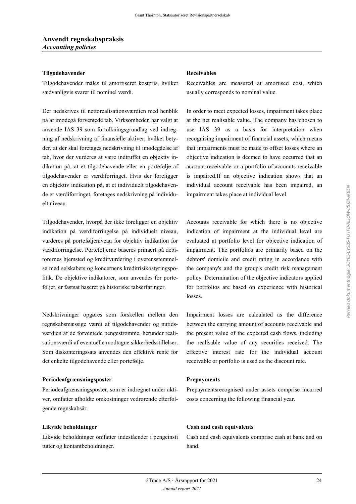#### **Tilgodehavender Receivables**

Tilgodehavender måles til amortiseret kostpris, hvilket sædvanligvis svarer til nominel værdi.

Der nedskrives til nettorealisationsværdien med henblik på at imødegå forventede tab. Virksomheden har valgt at anvende IAS 39 som fortolkningsgrundlag ved indregning af nedskrivning af finansielle aktiver, hvilket betyder, at der skal foretages nedskrivning til imødegåelse af tab, hvor der vurderes at være indtruffet en objektiv indikation på, at et tilgodehavende eller en portefølje af tilgodehavender er værdiforringet. Hvis der foreligger en objektiv indikation på, at et individuelt tilgodehavende er værdiforringet, foretages nedskrivning på individuelt niveau.

Tilgodehavender, hvorpå der ikke foreligger en objektiv indikation på værdiforringelse på individuelt niveau, vurderes på porteføljeniveau for objektiv indikation for værdiforringelse. Porteføljerne baseres primært på debitorernes hjemsted og kreditvurdering i overensstemmelse med selskabets og koncernens kreditrisikostyringspolitik. De objektive indikatorer, som anvendes for porteføljer, er fastsat baseret på historiske tabserfaringer.

Nedskrivninger opgøres som forskellen mellem den regnskabsmæssige værdi af tilgodehavender og nutidsværdien af de forventede pengestrømme, herunder realisationsværdi af eventuelle modtagne sikkerhedsstillelser. Som diskonteringssats anvendes den effektive rente for det enkelte tilgodehavende eller portefølje.

#### **Periodeafgrænsningsposter Prepayments**

Periodeafgrænsningsposter, som er indregnet under aktiver, omfatter afholdte omkostninger vedrørende efterfølgende regnskabsår.

Likvide beholdninger omfatter indeståender i pengeinsti tutter og kontantbeholdninger.

Receivables are measured at amortised cost, which usually corresponds to nominal value.

In order to meet expected losses, impairment takes place at the net realisable value. The company has chosen to use IAS 39 as a basis for interpretation when recognising impairment of financial assets, which means that impairments must be made to offset losses where an objective indication is deemed to have occurred that an account receivable or a portfolio of accounts receivable is impaired.If an objective indication shows that an individual account receivable has been impaired, an impairment takes place at individual level.

Accounts receivable for which there is no objective indication of impairment at the individual level are evaluated at portfolio level for objective indication of impairment. The portfolios are primarily based on the debtors' domicile and credit rating in accordance with the company's and the group's credit risk management policy. Determination of the objective indicators applied for portfolios are based on experience with historical losses.

Impairment losses are calculated as the difference between the carrying amount of accounts receivable and the present value of the expected cash flows, including the realisable value of any securities received. The effective interest rate for the individual account receivable or portfolio is used as the discount rate.

Prepaymentsrecognised under assets comprise incurred costs concerning the following financial year.

#### **Likvide beholdninger Cash and cash equivalents**

Cash and cash equivalents comprise cash at bank and on hand.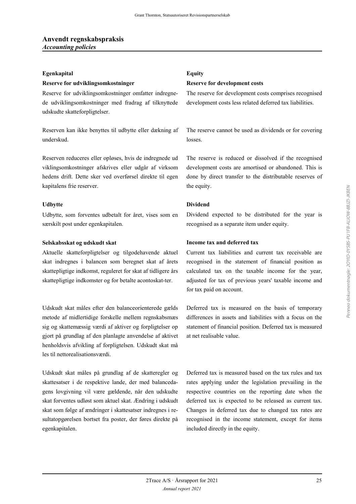#### **Egenkapital Equity**

### **Reserve for udviklingsomkostninger Reserve for development costs**

Reserve for udviklingsomkostninger omfatter indregnede udviklingsomkostninger med fradrag af tilknyttede udskudte skatteforpligtelser.

Reserven kan ikke benyttes til udbytte eller dækning af underskud.

Reserven reduceres eller opløses, hvis de indregnede ud viklingsomkostninger afskrives eller udgår af virksom hedens drift. Dette sker ved overførsel direkte til egen kapitalens frie reserver.

Udbytte, som forventes udbetalt for året, vises som en særskilt post under egenkapitalen.

Aktuelle skatteforpligtelser og tilgodehavende aktuel skat indregnes i balancen som beregnet skat af årets skattepligtige indkomst, reguleret for skat af tidligere års skattepligtige indkomster og for betalte acontoskat-ter.

Udskudt skat måles efter den balanceorienterede gælds metode af midlertidige forskelle mellem regnskabsmæs sig og skattemæssig værdi af aktiver og forpligtelser op gjort på grundlag af den planlagte anvendelse af aktivet henholdsvis afvikling af forpligtelsen. Udskudt skat må les til nettorealisationsværdi.

Udskudt skat måles på grundlag af de skatteregler og skattesatser i de respektive lande, der med balancedagens lovgivning vil være gældende, når den udskudte skat forventes udløst som aktuel skat. Ændring i udskudt skat som følge af ændringer i skattesatser indregnes i resultatopgørelsen bortset fra poster, der føres direkte på egenkapitalen.

The reserve for development costs comprises recognised development costs less related deferred tax liabilities.

The reserve cannot be used as dividends or for covering losses.

The reserve is reduced or dissolved if the recognised development costs are amortised or abandoned. This is done by direct transfer to the distributable reserves of the equity.

#### **Udbytte Dividend**

Dividend expected to be distributed for the year is recognised as a separate item under equity.

#### **Selskabsskat og udskudt skat Income tax and deferred tax**

Current tax liabilities and current tax receivable are recognised in the statement of financial position as calculated tax on the taxable income for the year, adjusted for tax of previous years' taxable income and for tax paid on account.

Deferred tax is measured on the basis of temporary differences in assets and liabilities with a focus on the statement of financial position. Deferred tax is measured at net realisable value.

Deferred tax is measured based on the tax rules and tax rates applying under the legislation prevailing in the respective countries on the reporting date when the deferred tax is expected to be released as current tax. Changes in deferred tax due to changed tax rates are recognised in the income statement, except for items included directly in the equity.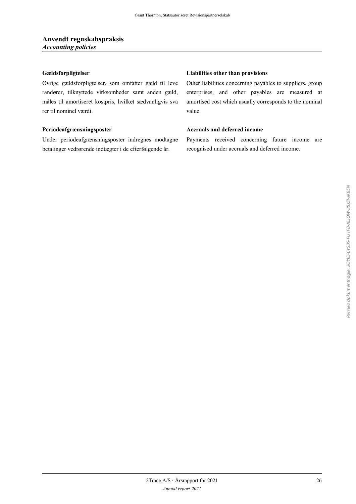Øvrige gældsforpligtelser, som omfatter gæld til leve randører, tilknyttede virksomheder samt anden gæld, måles til amortiseret kostpris, hvilket sædvanligvis sva rer til nominel værdi.

Under periodeafgrænsningsposter indregnes modtagne betalinger vedrørende indtægter i de efterfølgende år.

#### **Gældsforpligtelser Liabilities other than provisions**

Other liabilities concerning payables to suppliers, group enterprises, and other payables are measured at amortised cost which usually corresponds to the nominal value.

### **Periodeafgrænsningsposter Accruals and deferred income**

Payments received concerning future income are recognised under accruals and deferred income.